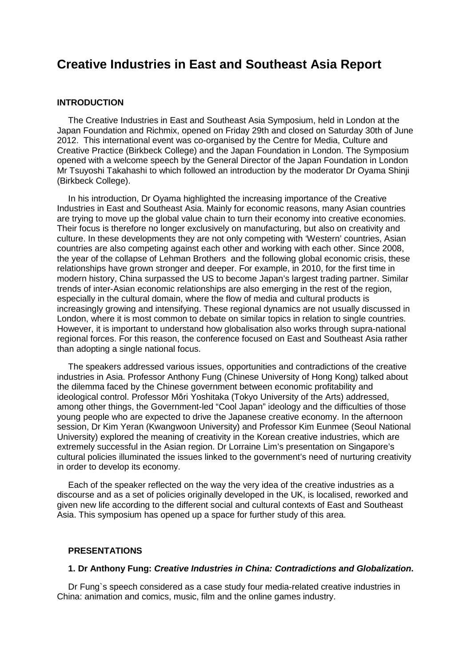# **Creative Industries in East and Southeast Asia Report**

#### **INTRODUCTION**

The Creative Industries in East and Southeast Asia Symposium, held in London at the Japan Foundation and Richmix, opened on Friday 29th and closed on Saturday 30th of June 2012. This international event was co-organised by the Centre for Media, Culture and Creative Practice (Birkbeck College) and the Japan Foundation in London. The Symposium opened with a welcome speech by the General Director of the Japan Foundation in London Mr Tsuyoshi Takahashi to which followed an introduction by the moderator Dr Oyama Shinji (Birkbeck College).

In his introduction, Dr Oyama highlighted the increasing importance of the Creative Industries in East and Southeast Asia. Mainly for economic reasons, many Asian countries are trying to move up the global value chain to turn their economy into creative economies. Their focus is therefore no longer exclusively on manufacturing, but also on creativity and culture. In these developments they are not only competing with 'Western' countries, Asian countries are also competing against each other and working with each other. Since 2008, the year of the collapse of Lehman Brothers and the following global economic crisis, these relationships have grown stronger and deeper. For example, in 2010, for the first time in modern history, China surpassed the US to become Japan's largest trading partner. Similar trends of inter-Asian economic relationships are also emerging in the rest of the region, especially in the cultural domain, where the flow of media and cultural products is increasingly growing and intensifying. These regional dynamics are not usually discussed in London, where it is most common to debate on similar topics in relation to single countries. However, it is important to understand how globalisation also works through supra-national regional forces. For this reason, the conference focused on East and Southeast Asia rather than adopting a single national focus.

The speakers addressed various issues, opportunities and contradictions of the creative industries in Asia. Professor Anthony Fung (Chinese University of Hong Kong) talked about the dilemma faced by the Chinese government between economic profitability and ideological control. Professor Mōri Yoshitaka (Tokyo University of the Arts) addressed, among other things, the Government-led "Cool Japan" ideology and the difficulties of those young people who are expected to drive the Japanese creative economy. In the afternoon session, Dr Kim Yeran (Kwangwoon University) and Professor Kim Eunmee (Seoul National University) explored the meaning of creativity in the Korean creative industries, which are extremely successful in the Asian region. Dr Lorraine Lim's presentation on Singapore's cultural policies illuminated the issues linked to the government's need of nurturing creativity in order to develop its economy.

Each of the speaker reflected on the way the very idea of the creative industries as a discourse and as a set of policies originally developed in the UK, is localised, reworked and given new life according to the different social and cultural contexts of East and Southeast Asia. This symposium has opened up a space for further study of this area.

## **PRESENTATIONS**

#### **1. Dr Anthony Fung: Creative Industries in China: Contradictions and Globalization.**

Dr Fung`s speech considered as a case study four media-related creative industries in China: animation and comics, music, film and the online games industry.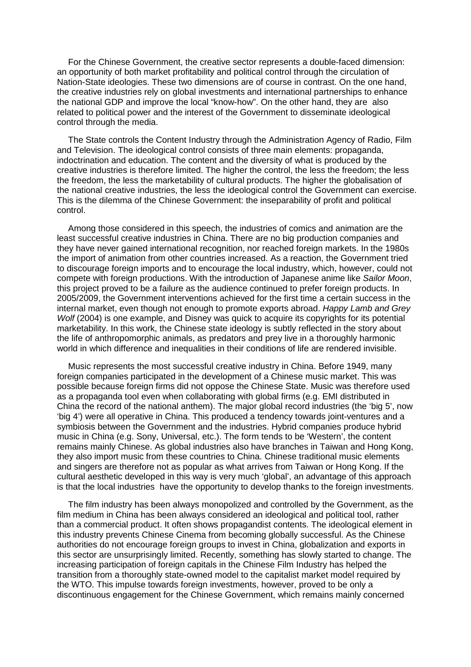For the Chinese Government, the creative sector represents a double-faced dimension: an opportunity of both market profitability and political control through the circulation of Nation-State ideologies. These two dimensions are of course in contrast. On the one hand, the creative industries rely on global investments and international partnerships to enhance the national GDP and improve the local "know-how". On the other hand, they are also related to political power and the interest of the Government to disseminate ideological control through the media.

The State controls the Content Industry through the Administration Agency of Radio, Film and Television. The ideological control consists of three main elements: propaganda, indoctrination and education. The content and the diversity of what is produced by the creative industries is therefore limited. The higher the control, the less the freedom; the less the freedom, the less the marketability of cultural products. The higher the globalisation of the national creative industries, the less the ideological control the Government can exercise. This is the dilemma of the Chinese Government: the inseparability of profit and political control.

Among those considered in this speech, the industries of comics and animation are the least successful creative industries in China. There are no big production companies and they have never gained international recognition, nor reached foreign markets. In the 1980s the import of animation from other countries increased. As a reaction, the Government tried to discourage foreign imports and to encourage the local industry, which, however, could not compete with foreign productions. With the introduction of Japanese anime like Sailor Moon, this project proved to be a failure as the audience continued to prefer foreign products. In 2005/2009, the Government interventions achieved for the first time a certain success in the internal market, even though not enough to promote exports abroad. Happy Lamb and Grey Wolf (2004) is one example, and Disney was quick to acquire its copyrights for its potential marketability. In this work, the Chinese state ideology is subtly reflected in the story about the life of anthropomorphic animals, as predators and prey live in a thoroughly harmonic world in which difference and inequalities in their conditions of life are rendered invisible.

Music represents the most successful creative industry in China. Before 1949, many foreign companies participated in the development of a Chinese music market. This was possible because foreign firms did not oppose the Chinese State. Music was therefore used as a propaganda tool even when collaborating with global firms (e.g. EMI distributed in China the record of the national anthem). The major global record industries (the 'big 5', now 'big 4') were all operative in China. This produced a tendency towards joint-ventures and a symbiosis between the Government and the industries. Hybrid companies produce hybrid music in China (e.g. Sony, Universal, etc.). The form tends to be 'Western', the content remains mainly Chinese. As global industries also have branches in Taiwan and Hong Kong, they also import music from these countries to China. Chinese traditional music elements and singers are therefore not as popular as what arrives from Taiwan or Hong Kong. If the cultural aesthetic developed in this way is very much 'global', an advantage of this approach is that the local industries have the opportunity to develop thanks to the foreign investments.

The film industry has been always monopolized and controlled by the Government, as the film medium in China has been always considered an ideological and political tool, rather than a commercial product. It often shows propagandist contents. The ideological element in this industry prevents Chinese Cinema from becoming globally successful. As the Chinese authorities do not encourage foreign groups to invest in China, globalization and exports in this sector are unsurprisingly limited. Recently, something has slowly started to change. The increasing participation of foreign capitals in the Chinese Film Industry has helped the transition from a thoroughly state-owned model to the capitalist market model required by the WTO. This impulse towards foreign investments, however, proved to be only a discontinuous engagement for the Chinese Government, which remains mainly concerned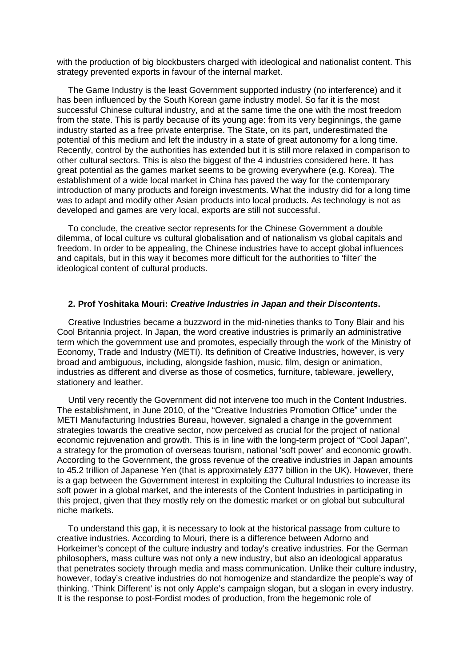with the production of big blockbusters charged with ideological and nationalist content. This strategy prevented exports in favour of the internal market.

The Game Industry is the least Government supported industry (no interference) and it has been influenced by the South Korean game industry model. So far it is the most successful Chinese cultural industry, and at the same time the one with the most freedom from the state. This is partly because of its young age: from its very beginnings, the game industry started as a free private enterprise. The State, on its part, underestimated the potential of this medium and left the industry in a state of great autonomy for a long time. Recently, control by the authorities has extended but it is still more relaxed in comparison to other cultural sectors. This is also the biggest of the 4 industries considered here. It has great potential as the games market seems to be growing everywhere (e.g. Korea). The establishment of a wide local market in China has paved the way for the contemporary introduction of many products and foreign investments. What the industry did for a long time was to adapt and modify other Asian products into local products. As technology is not as developed and games are very local, exports are still not successful.

To conclude, the creative sector represents for the Chinese Government a double dilemma, of local culture vs cultural globalisation and of nationalism vs global capitals and freedom. In order to be appealing, the Chinese industries have to accept global influences and capitals, but in this way it becomes more difficult for the authorities to 'filter' the ideological content of cultural products.

#### **2. Prof Yoshitaka Mouri: Creative Industries in Japan and their Discontents.**

Creative Industries became a buzzword in the mid-nineties thanks to Tony Blair and his Cool Britannia project. In Japan, the word creative industries is primarily an administrative term which the government use and promotes, especially through the work of the Ministry of Economy, Trade and Industry (METI). Its definition of Creative Industries, however, is very broad and ambiguous, including, alongside fashion, music, film, design or animation, industries as different and diverse as those of cosmetics, furniture, tableware, jewellery, stationery and leather.

Until very recently the Government did not intervene too much in the Content Industries. The establishment, in June 2010, of the "Creative Industries Promotion Office" under the METI Manufacturing Industries Bureau, however, signaled a change in the government strategies towards the creative sector, now perceived as crucial for the project of national economic rejuvenation and growth. This is in line with the long-term project of "Cool Japan", a strategy for the promotion of overseas tourism, national 'soft power' and economic growth. According to the Government, the gross revenue of the creative industries in Japan amounts to 45.2 trillion of Japanese Yen (that is approximately £377 billion in the UK). However, there is a gap between the Government interest in exploiting the Cultural Industries to increase its soft power in a global market, and the interests of the Content Industries in participating in this project, given that they mostly rely on the domestic market or on global but subcultural niche markets.

To understand this gap, it is necessary to look at the historical passage from culture to creative industries. According to Mouri, there is a difference between Adorno and Horkeimer's concept of the culture industry and today's creative industries. For the German philosophers, mass culture was not only a new industry, but also an ideological apparatus that penetrates society through media and mass communication. Unlike their culture industry, however, today's creative industries do not homogenize and standardize the people's way of thinking. 'Think Different' is not only Apple's campaign slogan, but a slogan in every industry. It is the response to post-Fordist modes of production, from the hegemonic role of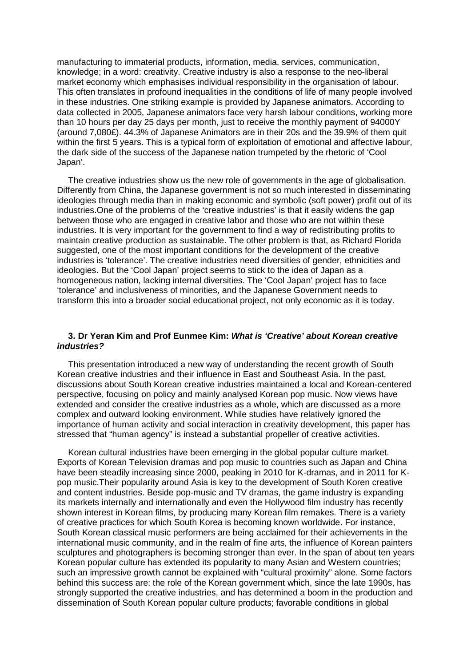manufacturing to immaterial products, information, media, services, communication, knowledge; in a word: creativity. Creative industry is also a response to the neo-liberal market economy which emphasises individual responsibility in the organisation of labour. This often translates in profound inequalities in the conditions of life of many people involved in these industries. One striking example is provided by Japanese animators. According to data collected in 2005, Japanese animators face very harsh labour conditions, working more than 10 hours per day 25 days per month, just to receive the monthly payment of 94000Y (around 7,080£). 44.3% of Japanese Animators are in their 20s and the 39.9% of them quit within the first 5 years. This is a typical form of exploitation of emotional and affective labour, the dark side of the success of the Japanese nation trumpeted by the rhetoric of 'Cool Japan'.

The creative industries show us the new role of governments in the age of globalisation. Differently from China, the Japanese government is not so much interested in disseminating ideologies through media than in making economic and symbolic (soft power) profit out of its industries.One of the problems of the 'creative industries' is that it easily widens the gap between those who are engaged in creative labor and those who are not within these industries. It is very important for the government to find a way of redistributing profits to maintain creative production as sustainable. The other problem is that, as Richard Florida suggested, one of the most important conditions for the development of the creative industries is 'tolerance'. The creative industries need diversities of gender, ethnicities and ideologies. But the 'Cool Japan' project seems to stick to the idea of Japan as a homogeneous nation, lacking internal diversities. The 'Cool Japan' project has to face 'tolerance' and inclusiveness of minorities, and the Japanese Government needs to transform this into a broader social educational project, not only economic as it is today.

#### **3. Dr Yeran Kim and Prof Eunmee Kim: What is 'Creative' about Korean creative industries?**

This presentation introduced a new way of understanding the recent growth of South Korean creative industries and their influence in East and Southeast Asia. In the past, discussions about South Korean creative industries maintained a local and Korean-centered perspective, focusing on policy and mainly analysed Korean pop music. Now views have extended and consider the creative industries as a whole, which are discussed as a more complex and outward looking environment. While studies have relatively ignored the importance of human activity and social interaction in creativity development, this paper has stressed that "human agency" is instead a substantial propeller of creative activities.

Korean cultural industries have been emerging in the global popular culture market. Exports of Korean Television dramas and pop music to countries such as Japan and China have been steadily increasing since 2000, peaking in 2010 for K-dramas, and in 2011 for Kpop music.Their popularity around Asia is key to the development of South Koren creative and content industries. Beside pop-music and TV dramas, the game industry is expanding its markets internally and internationally and even the Hollywood film industry has recently shown interest in Korean films, by producing many Korean film remakes. There is a variety of creative practices for which South Korea is becoming known worldwide. For instance, South Korean classical music performers are being acclaimed for their achievements in the international music community, and in the realm of fine arts, the influence of Korean painters sculptures and photographers is becoming stronger than ever. In the span of about ten years Korean popular culture has extended its popularity to many Asian and Western countries; such an impressive growth cannot be explained with "cultural proximity" alone. Some factors behind this success are: the role of the Korean government which, since the late 1990s, has strongly supported the creative industries, and has determined a boom in the production and dissemination of South Korean popular culture products; favorable conditions in global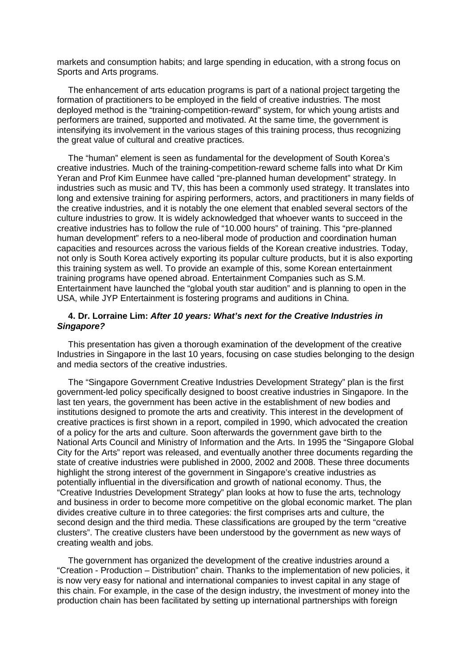markets and consumption habits; and large spending in education, with a strong focus on Sports and Arts programs.

The enhancement of arts education programs is part of a national project targeting the formation of practitioners to be employed in the field of creative industries. The most deployed method is the "training-competition-reward" system, for which young artists and performers are trained, supported and motivated. At the same time, the government is intensifying its involvement in the various stages of this training process, thus recognizing the great value of cultural and creative practices.

The "human" element is seen as fundamental for the development of South Korea's creative industries. Much of the training-competition-reward scheme falls into what Dr Kim Yeran and Prof Kim Eunmee have called "pre-planned human development" strategy. In industries such as music and TV, this has been a commonly used strategy. It translates into long and extensive training for aspiring performers, actors, and practitioners in many fields of the creative industries, and it is notably the one element that enabled several sectors of the culture industries to grow. It is widely acknowledged that whoever wants to succeed in the creative industries has to follow the rule of "10.000 hours" of training. This "pre-planned human development" refers to a neo-liberal mode of production and coordination human capacities and resources across the various fields of the Korean creative industries. Today, not only is South Korea actively exporting its popular culture products, but it is also exporting this training system as well. To provide an example of this, some Korean entertainment training programs have opened abroad. Entertainment Companies such as S.M. Entertainment have launched the "global youth star audition" and is planning to open in the USA, while JYP Entertainment is fostering programs and auditions in China.

# **4. Dr. Lorraine Lim: After 10 years: What's next for the Creative Industries in Singapore?**

This presentation has given a thorough examination of the development of the creative Industries in Singapore in the last 10 years, focusing on case studies belonging to the design and media sectors of the creative industries.

The "Singapore Government Creative Industries Development Strategy" plan is the first government-led policy specifically designed to boost creative industries in Singapore. In the last ten years, the government has been active in the establishment of new bodies and institutions designed to promote the arts and creativity. This interest in the development of creative practices is first shown in a report, compiled in 1990, which advocated the creation of a policy for the arts and culture. Soon afterwards the government gave birth to the National Arts Council and Ministry of Information and the Arts. In 1995 the "Singapore Global City for the Arts" report was released, and eventually another three documents regarding the state of creative industries were published in 2000, 2002 and 2008. These three documents highlight the strong interest of the government in Singapore's creative industries as potentially influential in the diversification and growth of national economy. Thus, the "Creative Industries Development Strategy" plan looks at how to fuse the arts, technology and business in order to become more competitive on the global economic market. The plan divides creative culture in to three categories: the first comprises arts and culture, the second design and the third media. These classifications are grouped by the term "creative clusters". The creative clusters have been understood by the government as new ways of creating wealth and jobs.

The government has organized the development of the creative industries around a "Creation - Production – Distribution" chain. Thanks to the implementation of new policies, it is now very easy for national and international companies to invest capital in any stage of this chain. For example, in the case of the design industry, the investment of money into the production chain has been facilitated by setting up international partnerships with foreign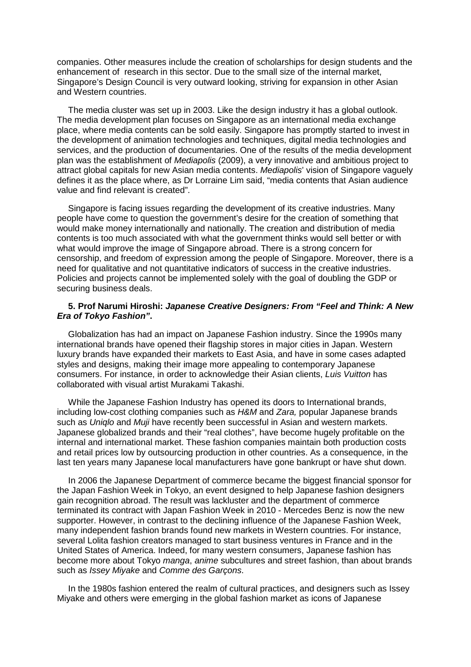companies. Other measures include the creation of scholarships for design students and the enhancement of research in this sector. Due to the small size of the internal market, Singapore's Design Council is very outward looking, striving for expansion in other Asian and Western countries.

The media cluster was set up in 2003. Like the design industry it has a global outlook. The media development plan focuses on Singapore as an international media exchange place, where media contents can be sold easily. Singapore has promptly started to invest in the development of animation technologies and techniques, digital media technologies and services, and the production of documentaries. One of the results of the media development plan was the establishment of Mediapolis (2009), a very innovative and ambitious project to attract global capitals for new Asian media contents. Mediapolis' vision of Singapore vaguely defines it as the place where, as Dr Lorraine Lim said, "media contents that Asian audience value and find relevant is created".

Singapore is facing issues regarding the development of its creative industries. Many people have come to question the government's desire for the creation of something that would make money internationally and nationally. The creation and distribution of media contents is too much associated with what the government thinks would sell better or with what would improve the image of Singapore abroad. There is a strong concern for censorship, and freedom of expression among the people of Singapore. Moreover, there is a need for qualitative and not quantitative indicators of success in the creative industries. Policies and projects cannot be implemented solely with the goal of doubling the GDP or securing business deals.

# **5. Prof Narumi Hiroshi: Japanese Creative Designers: From "Feel and Think: A New Era of Tokyo Fashion".**

Globalization has had an impact on Japanese Fashion industry. Since the 1990s many international brands have opened their flagship stores in major cities in Japan. Western luxury brands have expanded their markets to East Asia, and have in some cases adapted styles and designs, making their image more appealing to contemporary Japanese consumers. For instance, in order to acknowledge their Asian clients, Luis Vuitton has collaborated with visual artist Murakami Takashi.

While the Japanese Fashion Industry has opened its doors to International brands, including low-cost clothing companies such as H&M and Zara, popular Japanese brands such as Uniglo and Muji have recently been successful in Asian and western markets. Japanese globalized brands and their "real clothes", have become hugely profitable on the internal and international market. These fashion companies maintain both production costs and retail prices low by outsourcing production in other countries. As a consequence, in the last ten years many Japanese local manufacturers have gone bankrupt or have shut down.

In 2006 the Japanese Department of commerce became the biggest financial sponsor for the Japan Fashion Week in Tokyo, an event designed to help Japanese fashion designers gain recognition abroad. The result was lackluster and the department of commerce terminated its contract with Japan Fashion Week in 2010 - Mercedes Benz is now the new supporter. However, in contrast to the declining influence of the Japanese Fashion Week, many independent fashion brands found new markets in Western countries. For instance, several Lolita fashion creators managed to start business ventures in France and in the United States of America. Indeed, for many western consumers, Japanese fashion has become more about Tokyo manga, anime subcultures and street fashion, than about brands such as Issey Miyake and Comme des Garçons.

In the 1980s fashion entered the realm of cultural practices, and designers such as Issey Miyake and others were emerging in the global fashion market as icons of Japanese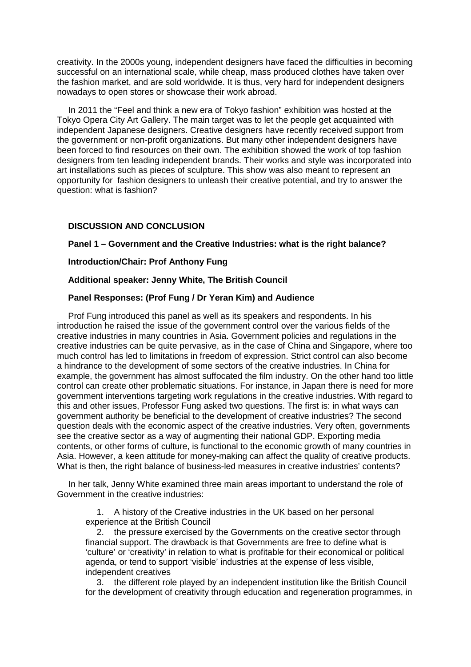creativity. In the 2000s young, independent designers have faced the difficulties in becoming successful on an international scale, while cheap, mass produced clothes have taken over the fashion market, and are sold worldwide. It is thus, very hard for independent designers nowadays to open stores or showcase their work abroad.

In 2011 the "Feel and think a new era of Tokyo fashion" exhibition was hosted at the Tokyo Opera City Art Gallery. The main target was to let the people get acquainted with independent Japanese designers. Creative designers have recently received support from the government or non-profit organizations. But many other independent designers have been forced to find resources on their own. The exhibition showed the work of top fashion designers from ten leading independent brands. Their works and style was incorporated into art installations such as pieces of sculpture. This show was also meant to represent an opportunity for fashion designers to unleash their creative potential, and try to answer the question: what is fashion?

# **DISCUSSION AND CONCLUSION**

## **Panel 1 – Government and the Creative Industries: what is the right balance?**

## **Introduction/Chair: Prof Anthony Fung**

## **Additional speaker: Jenny White, The British Council**

# **Panel Responses: (Prof Fung / Dr Yeran Kim) and Audience**

Prof Fung introduced this panel as well as its speakers and respondents. In his introduction he raised the issue of the government control over the various fields of the creative industries in many countries in Asia. Government policies and regulations in the creative industries can be quite pervasive, as in the case of China and Singapore, where too much control has led to limitations in freedom of expression. Strict control can also become a hindrance to the development of some sectors of the creative industries. In China for example, the government has almost suffocated the film industry. On the other hand too little control can create other problematic situations. For instance, in Japan there is need for more government interventions targeting work regulations in the creative industries. With regard to this and other issues, Professor Fung asked two questions. The first is: in what ways can government authority be beneficial to the development of creative industries? The second question deals with the economic aspect of the creative industries. Very often, governments see the creative sector as a way of augmenting their national GDP. Exporting media contents, or other forms of culture, is functional to the economic growth of many countries in Asia. However, a keen attitude for money-making can affect the quality of creative products. What is then, the right balance of business-led measures in creative industries' contents?

In her talk, Jenny White examined three main areas important to understand the role of Government in the creative industries:

1. A history of the Creative industries in the UK based on her personal experience at the British Council

2. the pressure exercised by the Governments on the creative sector through financial support. The drawback is that Governments are free to define what is 'culture' or 'creativity' in relation to what is profitable for their economical or political agenda, or tend to support 'visible' industries at the expense of less visible, independent creatives

3. the different role played by an independent institution like the British Council for the development of creativity through education and regeneration programmes, in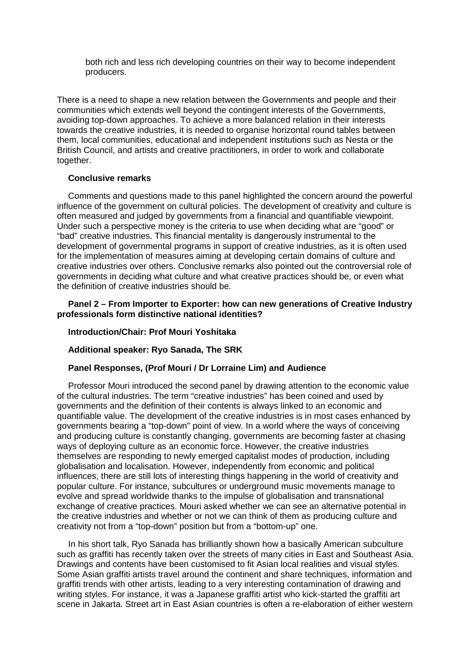both rich and less rich developing countries on their way to become independent producers.

There is a need to shape a new relation between the Governments and people and their communities which extends well beyond the contingent interests of the Governments, avoiding top-down approaches. To achieve a more balanced relation in their interests towards the creative industries, it is needed to organise horizontal round tables between them, local communities, educational and independent institutions such as Nesta or the British Council, and artists and creative practitioners, in order to work and collaborate together.

#### **Conclusive remarks**

Comments and questions made to this panel highlighted the concern around the powerful influence of the government on cultural policies. The development of creativity and culture is often measured and judged by governments from a financial and quantifiable viewpoint. Under such a perspective money is the criteria to use when deciding what are "good" or "bad" creative industries. This financial mentality is dangerously instrumental to the development of governmental programs in support of creative industries, as it is often used for the implementation of measures aiming at developing certain domains of culture and creative industries over others. Conclusive remarks also pointed out the controversial role of governments in deciding what culture and what creative practices should be, or even what the definition of creative industries should be.

## **Panel 2 – From Importer to Exporter: how can new generations of Creative Industry professionals form distinctive national identities?**

#### **Introduction/Chair: Prof Mouri Yoshitaka**

## **Additional speaker: Ryo Sanada, The SRK**

# **Panel Responses, (Prof Mouri / Dr Lorraine Lim) and Audience**

Professor Mouri introduced the second panel by drawing attention to the economic value of the cultural industries. The term "creative industries" has been coined and used by governments and the definition of their contents is always linked to an economic and quantifiable value. The development of the creative industries is in most cases enhanced by governments bearing a "top-down" point of view. In a world where the ways of conceiving and producing culture is constantly changing, governments are becoming faster at chasing ways of deploying culture as an economic force. However, the creative industries themselves are responding to newly emerged capitalist modes of production, including globalisation and localisation. However, independently from economic and political influences, there are still lots of interesting things happening in the world of creativity and popular culture. For instance, subcultures or underground music movements manage to evolve and spread worldwide thanks to the impulse of globalisation and transnational exchange of creative practices. Mouri asked whether we can see an alternative potential in the creative industries and whether or not we can think of them as producing culture and creativity not from a "top-down" position but from a "bottom-up" one.

In his short talk, Ryo Sanada has brilliantly shown how a basically American subculture such as graffiti has recently taken over the streets of many cities in East and Southeast Asia. Drawings and contents have been customised to fit Asian local realities and visual styles. Some Asian graffiti artists travel around the continent and share techniques, information and graffiti trends with other artists, leading to a very interesting contamination of drawing and writing styles. For instance, it was a Japanese graffiti artist who kick-started the graffiti art scene in Jakarta. Street art in East Asian countries is often a re-elaboration of either western